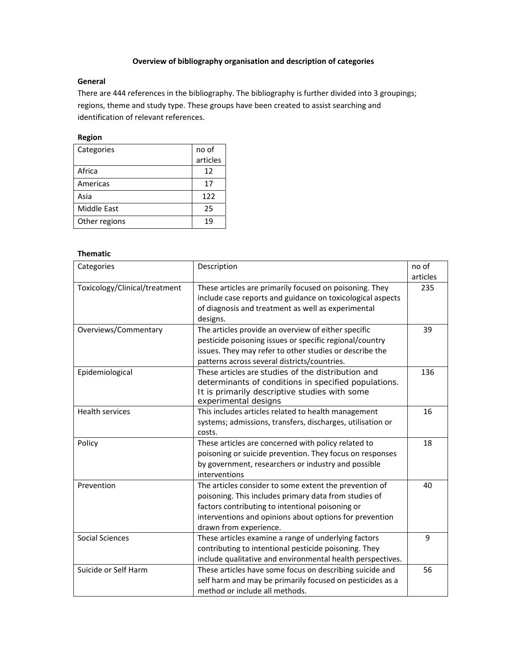## **Overview of bibliography organisation and description of categories**

## **General**

There are 444 references in the bibliography. The bibliography is further divided into 3 groupings; regions, theme and study type. These groups have been created to assist searching and identification of relevant references.

## **Region**

| Categories    | no of    |  |
|---------------|----------|--|
|               | articles |  |
| Africa        | 12       |  |
| Americas      | 17       |  |
| Asia          | 122      |  |
| Middle East   | 25       |  |
| Other regions | 19       |  |

## **Thematic**

| Categories                    | Description                                                                                                           | no of    |
|-------------------------------|-----------------------------------------------------------------------------------------------------------------------|----------|
|                               |                                                                                                                       | articles |
| Toxicology/Clinical/treatment | These articles are primarily focused on poisoning. They<br>include case reports and guidance on toxicological aspects | 235      |
|                               | of diagnosis and treatment as well as experimental                                                                    |          |
|                               | designs.                                                                                                              |          |
| Overviews/Commentary          | The articles provide an overview of either specific                                                                   | 39       |
|                               | pesticide poisoning issues or specific regional/country                                                               |          |
|                               | issues. They may refer to other studies or describe the                                                               |          |
|                               | patterns across several districts/countries.                                                                          |          |
| Epidemiological               | These articles are studies of the distribution and                                                                    | 136      |
|                               | determinants of conditions in specified populations.                                                                  |          |
|                               | It is primarily descriptive studies with some                                                                         |          |
| <b>Health services</b>        | experimental designs<br>This includes articles related to health management                                           | 16       |
|                               | systems; admissions, transfers, discharges, utilisation or                                                            |          |
|                               | costs.                                                                                                                |          |
| Policy                        | These articles are concerned with policy related to                                                                   | 18       |
|                               | poisoning or suicide prevention. They focus on responses                                                              |          |
|                               | by government, researchers or industry and possible                                                                   |          |
|                               | interventions                                                                                                         |          |
| Prevention                    | The articles consider to some extent the prevention of                                                                | 40       |
|                               | poisoning. This includes primary data from studies of                                                                 |          |
|                               | factors contributing to intentional poisoning or                                                                      |          |
|                               | interventions and opinions about options for prevention                                                               |          |
|                               | drawn from experience.                                                                                                |          |
| <b>Social Sciences</b>        | These articles examine a range of underlying factors                                                                  | 9        |
|                               | contributing to intentional pesticide poisoning. They                                                                 |          |
|                               | include qualitative and environmental health perspectives.                                                            |          |
| Suicide or Self Harm          | These articles have some focus on describing suicide and                                                              | 56       |
|                               | self harm and may be primarily focused on pesticides as a                                                             |          |
|                               | method or include all methods.                                                                                        |          |